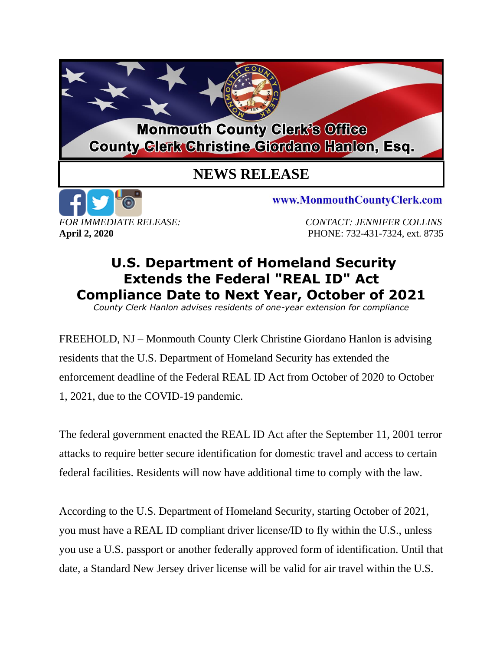## **Monmouth County Clerk's Office County Glerk Christine Giordano Hanlon, Esq.**

## **NEWS RELEASE**



www.MonmouthCountyClerk.com

*FOR IMMEDIATE RELEASE: CONTACT: JENNIFER COLLINS* **April 2, 2020** PHONE: 732-431-7324, ext. 8735

## **U.S. Department of Homeland Security Extends the Federal "REAL ID" Act Compliance Date to Next Year, October of 2021**

*County Clerk Hanlon advises residents of one-year extension for compliance*

FREEHOLD, NJ – Monmouth County Clerk Christine Giordano Hanlon is advising residents that the U.S. Department of Homeland Security has extended the enforcement deadline of the Federal REAL ID Act from October of 2020 to October 1, 2021, due to the COVID-19 pandemic.

The federal government enacted the REAL ID Act after the September 11, 2001 terror attacks to require better secure identification for domestic travel and access to certain federal facilities. Residents will now have additional time to comply with the law.

According to the U.S. Department of Homeland Security, starting October of 2021, you must have a REAL ID compliant driver license/ID to fly within the U.S., unless you use a U.S. passport or another federally approved form of identification. Until that date, a Standard New Jersey driver license will be valid for air travel within the U.S.